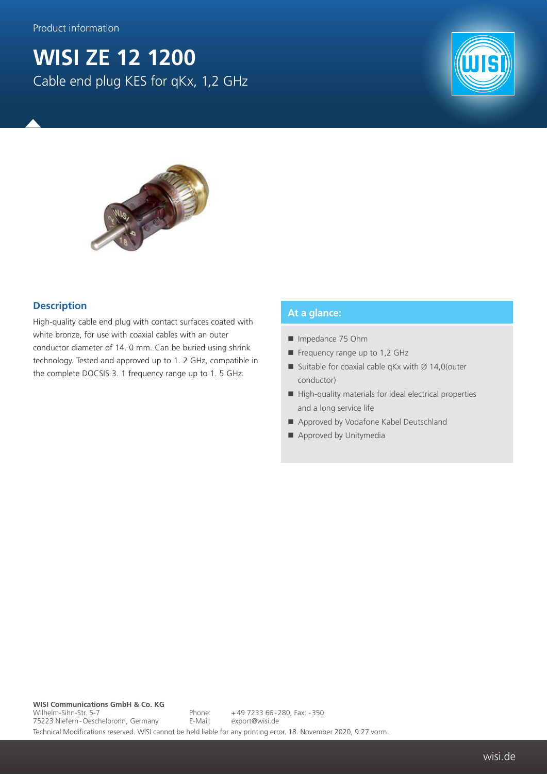Product information

## **WISI ZE 12 1200** Cable end plug KES for qKx, 1,2 GHz





## **Description**

High-quality cable end plug with contact surfaces coated with white bronze, for use with coaxial cables with an outer conductor diameter of 14. 0 mm. Can be buried using shrink technology. Tested and approved up to 1. 2 GHz, compatible in the complete DOCSIS 3. 1 frequency range up to 1. 5 GHz.

## **At a glance:**

- Impedance 75 Ohm
- Frequency range up to 1,2 GHz
- Suitable for coaxial cable qKx with  $\varnothing$  14,0 (outer conductor)
- High-quality materials for ideal electrical properties and a long service life
- Approved by Vodafone Kabel Deutschland
- Approved by Unitymedia